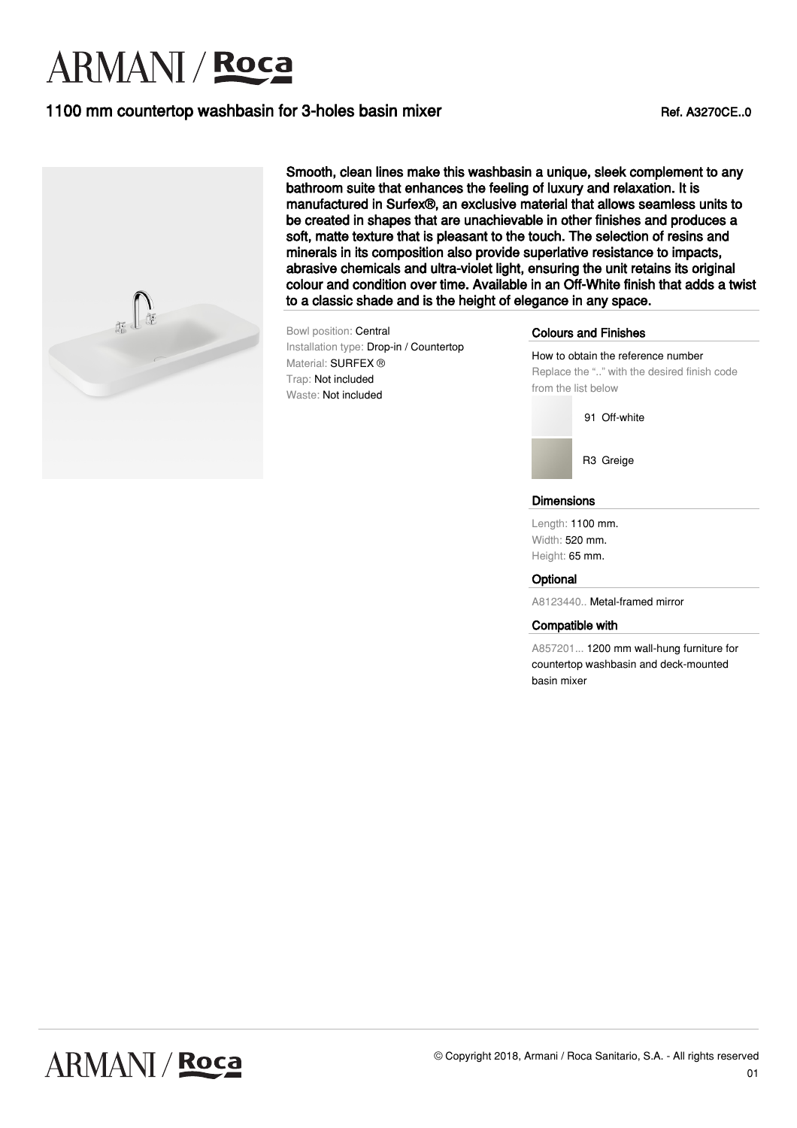# **ARMANI** / Roca

## 1100 mm countertop washbasin for 3-holes basin mixer Ref. A3270CE..0



Smooth, clean lines make this washbasin a unique, sleek complement to any bathroom suite that enhances the feeling of luxury and relaxation. It is manufactured in Surfex®, an exclusive material that allows seamless units to be created in shapes that are unachievable in other finishes and produces a soft, matte texture that is pleasant to the touch. The selection of resins and minerals in its composition also provide superlative resistance to impacts, abrasive chemicals and ultra-violet light, ensuring the unit retains its original colour and condition over time. Available in an Off-White finish that adds a twist to a classic shade and is the height of elegance in any space.

Bowl position: Central Installation type: Drop-in / Countertop Material: SURFEX ® Trap: Not included Waste: Not included

### Colours and Finishes

How to obtain the reference number Replace the ".." with the desired finish code from the list below



R3 Greige

### **Dimensions**

Length: 1100 mm. Width: 520 mm. Height: 65 mm.

### **Optional**

A8123440.. Metal-framed mirror

#### Compatible with

A857201... 1200 mm wall-hung furniture for countertop washbasin and deck-mounted basin mixer

01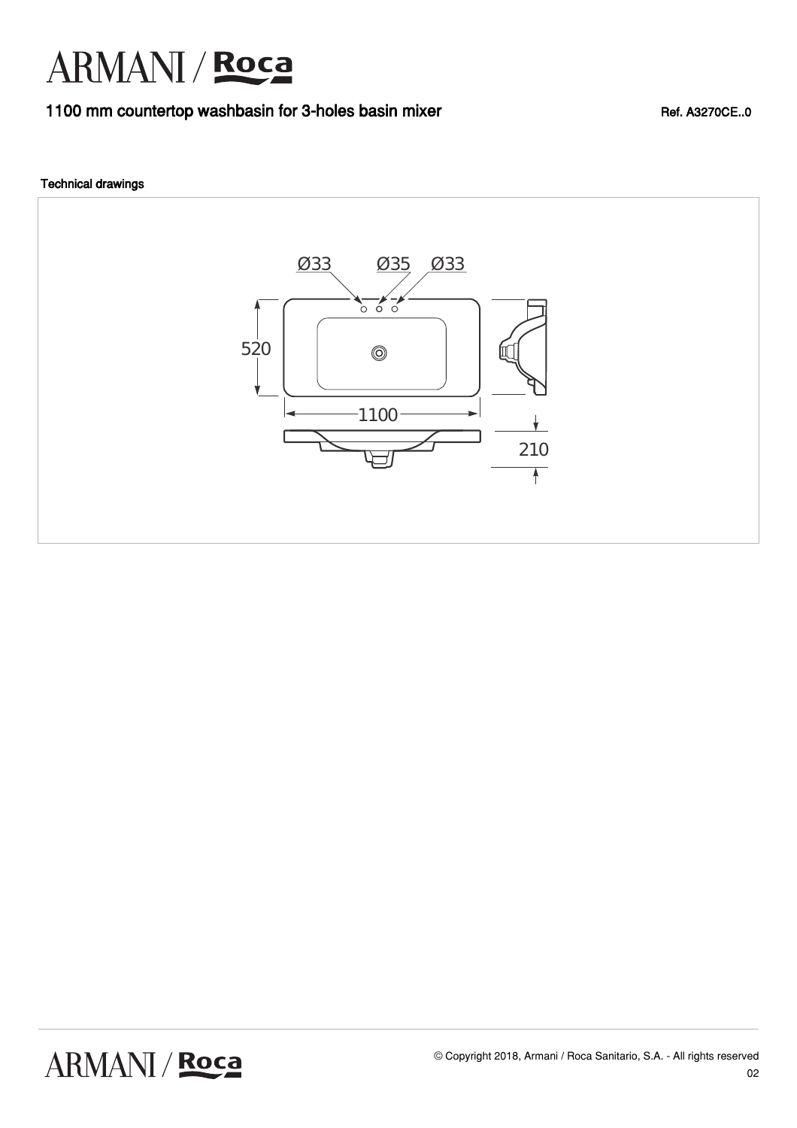# ARMANI / Roca

### 1100 mm countertop washbasin for 3-holes basin mixer Ref. A3270CE..0

### Technical drawings